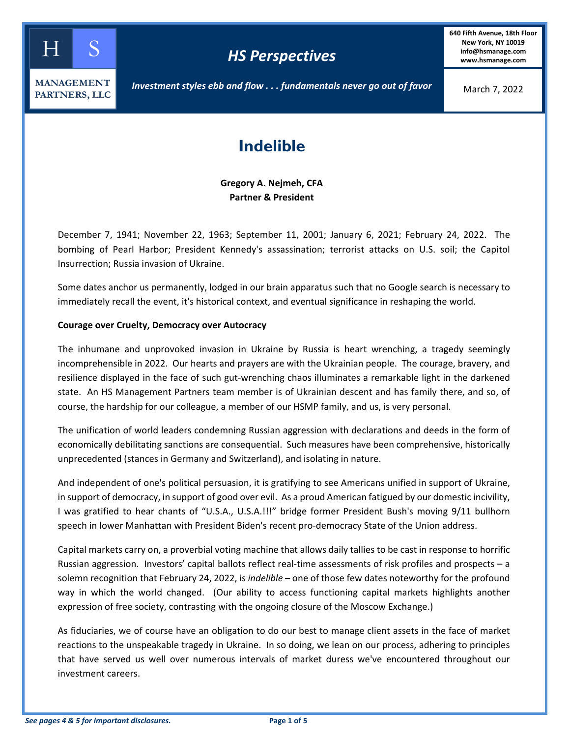

*Investment styles ebb and flow . . . fundamentals never go out of favor* 

March 7, 2022

# **Indelible**

**Gregory A. Nejmeh, CFA Partner & President** 

December 7, 1941; November 22, 1963; September 11, 2001; January 6, 2021; February 24, 2022. The bombing of Pearl Harbor; President Kennedy's assassination; terrorist attacks on U.S. soil; the Capitol Insurrection; Russia invasion of Ukraine.

Some dates anchor us permanently, lodged in our brain apparatus such that no Google search is necessary to immediately recall the event, it's historical context, and eventual significance in reshaping the world.

# **Courage over Cruelty, Democracy over Autocracy**

The inhumane and unprovoked invasion in Ukraine by Russia is heart wrenching, a tragedy seemingly incomprehensible in 2022. Our hearts and prayers are with the Ukrainian people. The courage, bravery, and resilience displayed in the face of such gut‐wrenching chaos illuminates a remarkable light in the darkened state. An HS Management Partners team member is of Ukrainian descent and has family there, and so, of course, the hardship for our colleague, a member of our HSMP family, and us, is very personal.

The unification of world leaders condemning Russian aggression with declarations and deeds in the form of economically debilitating sanctions are consequential. Such measures have been comprehensive, historically unprecedented (stances in Germany and Switzerland), and isolating in nature.

And independent of one's political persuasion, it is gratifying to see Americans unified in support of Ukraine, in support of democracy, in support of good over evil. As a proud American fatigued by our domestic incivility, I was gratified to hear chants of "U.S.A., U.S.A.!!!" bridge former President Bush's moving 9/11 bullhorn speech in lower Manhattan with President Biden's recent pro‐democracy State of the Union address.

Capital markets carry on, a proverbial voting machine that allows daily tallies to be cast in response to horrific Russian aggression. Investors' capital ballots reflect real-time assessments of risk profiles and prospects – a solemn recognition that February 24, 2022, is *indelible* – one of those few dates noteworthy for the profound way in which the world changed. (Our ability to access functioning capital markets highlights another expression of free society, contrasting with the ongoing closure of the Moscow Exchange.)

As fiduciaries, we of course have an obligation to do our best to manage client assets in the face of market reactions to the unspeakable tragedy in Ukraine. In so doing, we lean on our process, adhering to principles that have served us well over numerous intervals of market duress we've encountered throughout our investment careers.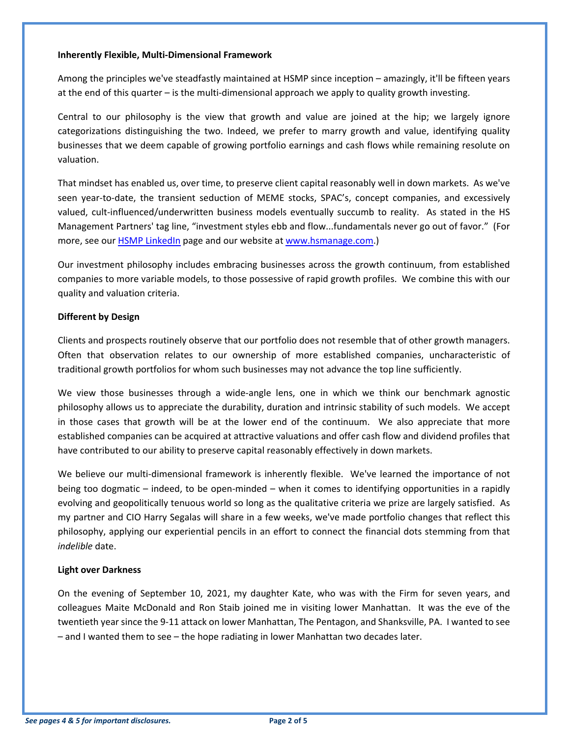### **Inherently Flexible, Multi‐Dimensional Framework**

Among the principles we've steadfastly maintained at HSMP since inception – amazingly, it'll be fifteen years at the end of this quarter – is the multi-dimensional approach we apply to quality growth investing.

Central to our philosophy is the view that growth and value are joined at the hip; we largely ignore categorizations distinguishing the two. Indeed, we prefer to marry growth and value, identifying quality businesses that we deem capable of growing portfolio earnings and cash flows while remaining resolute on valuation.

That mindset has enabled us, over time, to preserve client capital reasonably well in down markets. As we've seen year-to-date, the transient seduction of MEME stocks, SPAC's, concept companies, and excessively valued, cult-influenced/underwritten business models eventually succumb to reality. As stated in the HS Management Partners' tag line, "investment styles ebb and flow...fundamentals never go out of favor." (For more, see our **HSMP LinkedIn** page and our website at www.hsmanage.com.)

Our investment philosophy includes embracing businesses across the growth continuum, from established companies to more variable models, to those possessive of rapid growth profiles. We combine this with our quality and valuation criteria.

# **Different by Design**

Clients and prospects routinely observe that our portfolio does not resemble that of other growth managers. Often that observation relates to our ownership of more established companies, uncharacteristic of traditional growth portfolios for whom such businesses may not advance the top line sufficiently.

We view those businesses through a wide-angle lens, one in which we think our benchmark agnostic philosophy allows us to appreciate the durability, duration and intrinsic stability of such models. We accept in those cases that growth will be at the lower end of the continuum. We also appreciate that more established companies can be acquired at attractive valuations and offer cash flow and dividend profiles that have contributed to our ability to preserve capital reasonably effectively in down markets.

We believe our multi-dimensional framework is inherently flexible. We've learned the importance of not being too dogmatic – indeed, to be open-minded – when it comes to identifying opportunities in a rapidly evolving and geopolitically tenuous world so long as the qualitative criteria we prize are largely satisfied. As my partner and CIO Harry Segalas will share in a few weeks, we've made portfolio changes that reflect this philosophy, applying our experiential pencils in an effort to connect the financial dots stemming from that *indelible* date.

# **Light over Darkness**

On the evening of September 10, 2021, my daughter Kate, who was with the Firm for seven years, and colleagues Maite McDonald and Ron Staib joined me in visiting lower Manhattan. It was the eve of the twentieth year since the 9‐11 attack on lower Manhattan, The Pentagon, and Shanksville, PA. I wanted to see – and I wanted them to see – the hope radiating in lower Manhattan two decades later.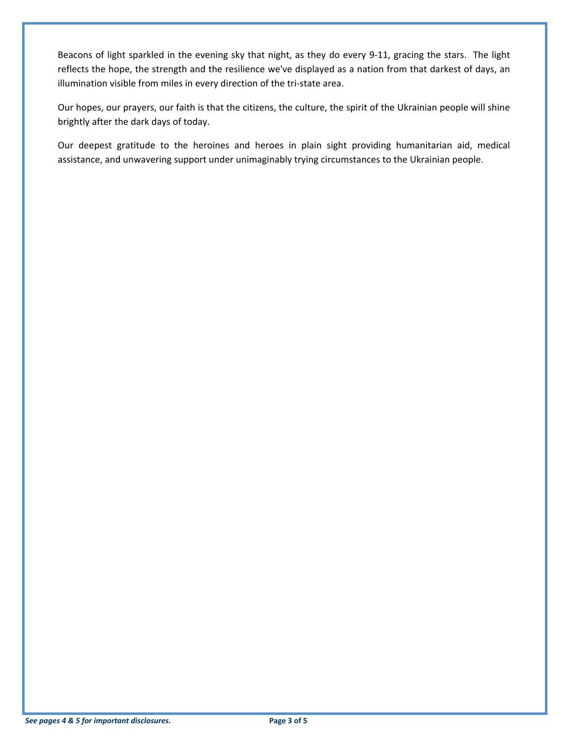Beacons of light sparkled in the evening sky that night, as they do every 9-11, gracing the stars. The light reflects the hope, the strength and the resilience we've displayed as a nation from that darkest of days, an illumination visible from miles in every direction of the tri‐state area.

Our hopes, our prayers, our faith is that the citizens, the culture, the spirit of the Ukrainian people will shine brightly after the dark days of today.

Our deepest gratitude to the heroines and heroes in plain sight providing humanitarian aid, medical assistance, and unwavering support under unimaginably trying circumstances to the Ukrainian people.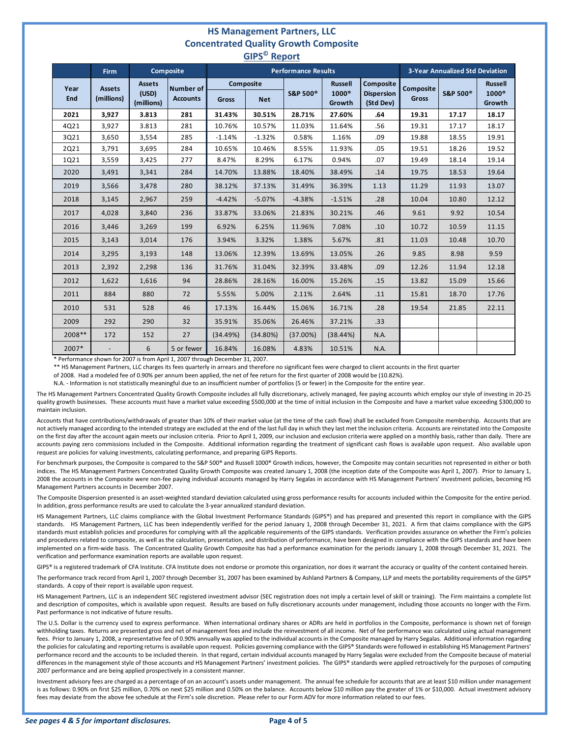## **HS Management Partners, LLC Concentrated Quality Growth Composite GIPS© Report**

| . <b>.</b>  |                             |                                      |                              |                            |            |                      |                                          |                                             |                                        |                     |                                          |
|-------------|-----------------------------|--------------------------------------|------------------------------|----------------------------|------------|----------------------|------------------------------------------|---------------------------------------------|----------------------------------------|---------------------|------------------------------------------|
|             | <b>Firm</b>                 |                                      | <b>Composite</b>             | <b>Performance Results</b> |            |                      |                                          |                                             | <b>3-Year Annualized Std Deviation</b> |                     |                                          |
| Year<br>End | <b>Assets</b><br>(millions) | <b>Assets</b><br>(USD)<br>(millions) | Number of<br><b>Accounts</b> | Composite<br><b>Gross</b>  | <b>Net</b> | S&P 500 <sup>®</sup> | <b>Russell</b><br>$1000^\circ$<br>Growth | Composite<br><b>Dispersion</b><br>(Std Dev) | <b>Composite</b><br><b>Gross</b>       | <b>S&amp;P 500®</b> | <b>Russell</b><br>$1000^\circ$<br>Growth |
| 2021        | 3,927                       | 3.813                                | 281                          | 31.43%                     | 30.51%     | 28.71%               | 27.60%                                   | .64                                         | 19.31                                  | 17.17               | 18.17                                    |
| 4Q21        | 3,927                       | 3.813                                | 281                          | 10.76%                     | 10.57%     | 11.03%               | 11.64%                                   | .56                                         | 19.31                                  | 17.17               | 18.17                                    |
| 3Q21        | 3,650                       | 3,554                                | 285                          | $-1.14%$                   | $-1.32%$   | 0.58%                | 1.16%                                    | .09                                         | 19.88                                  | 18.55               | 19.91                                    |
| 2Q21        | 3,791                       | 3,695                                | 284                          | 10.65%                     | 10.46%     | 8.55%                | 11.93%                                   | .05                                         | 19.51                                  | 18.26               | 19.52                                    |
| 1Q21        | 3,559                       | 3,425                                | 277                          | 8.47%                      | 8.29%      | 6.17%                | 0.94%                                    | .07                                         | 19.49                                  | 18.14               | 19.14                                    |
| 2020        | 3,491                       | 3,341                                | 284                          | 14.70%                     | 13.88%     | 18.40%               | 38.49%                                   | .14                                         | 19.75                                  | 18.53               | 19.64                                    |
| 2019        | 3,566                       | 3,478                                | 280                          | 38.12%                     | 37.13%     | 31.49%               | 36.39%                                   | 1.13                                        | 11.29                                  | 11.93               | 13.07                                    |
| 2018        | 3,145                       | 2,967                                | 259                          | $-4.42%$                   | $-5.07%$   | $-4.38%$             | $-1.51%$                                 | .28                                         | 10.04                                  | 10.80               | 12.12                                    |
| 2017        | 4,028                       | 3,840                                | 236                          | 33.87%                     | 33.06%     | 21.83%               | 30.21%                                   | .46                                         | 9.61                                   | 9.92                | 10.54                                    |
| 2016        | 3,446                       | 3,269                                | 199                          | 6.92%                      | 6.25%      | 11.96%               | 7.08%                                    | .10                                         | 10.72                                  | 10.59               | 11.15                                    |
| 2015        | 3,143                       | 3,014                                | 176                          | 3.94%                      | 3.32%      | 1.38%                | 5.67%                                    | .81                                         | 11.03                                  | 10.48               | 10.70                                    |
| 2014        | 3,295                       | 3,193                                | 148                          | 13.06%                     | 12.39%     | 13.69%               | 13.05%                                   | .26                                         | 9.85                                   | 8.98                | 9.59                                     |
| 2013        | 2,392                       | 2,298                                | 136                          | 31.76%                     | 31.04%     | 32.39%               | 33.48%                                   | .09                                         | 12.26                                  | 11.94               | 12.18                                    |
| 2012        | 1,622                       | 1,616                                | 94                           | 28.86%                     | 28.16%     | 16.00%               | 15.26%                                   | .15                                         | 13.82                                  | 15.09               | 15.66                                    |
| 2011        | 884                         | 880                                  | 72                           | 5.55%                      | 5.00%      | 2.11%                | 2.64%                                    | .11                                         | 15.81                                  | 18.70               | 17.76                                    |
| 2010        | 531                         | 528                                  | 46                           | 17.13%                     | 16.44%     | 15.06%               | 16.71%                                   | .28                                         | 19.54                                  | 21.85               | 22.11                                    |
| 2009        | 292                         | 290                                  | 32                           | 35.91%                     | 35.06%     | 26.46%               | 37.21%                                   | .33                                         |                                        |                     |                                          |
| 2008 **     | 172                         | 152                                  | 27                           | (34.49%)                   | (34.80%)   | (37.00%)             | (38.44%)                                 | N.A.                                        |                                        |                     |                                          |
| 2007*       |                             | 6                                    | 5 or fewer                   | 16.84%                     | 16.08%     | 4.83%                | 10.51%                                   | N.A.                                        |                                        |                     |                                          |

\* Performance shown for 2007 is from April 1, 2007 through December 31, 2007.

\*\* HS Management Partners, LLC charges its fees quarterly in arrears and therefore no significant fees were charged to client accounts in the first quarter

of 2008. Had a modeled fee of 0.90% per annum been applied, the net of fee return for the first quarter of 2008 would be (10.82%).

N.A. ‐ Information is not statistically meaningful due to an insufficient number of portfolios (5 or fewer) in the Composite for the entire year.

The HS Management Partners Concentrated Quality Growth Composite includes all fully discretionary, actively managed, fee paying accounts which employ our style of investing in 20‐25 quality growth businesses. These accounts must have a market value exceeding \$500,000 at the time of initial inclusion in the Composite and have a market value exceeding \$300,000 to maintain inclusion.

Accounts that have contributions/withdrawals of greater than 10% of their market value (at the time of the cash flow) shall be excluded from Composite membership. Accounts that are not actively managed according to the intended strategy are excluded at the end of the last full day in which they last met the inclusion criteria. Accounts are reinstated into the Composite on the first day after the account again meets our inclusion criteria. Prior to April 1, 2009, our inclusion and exclusion criteria were applied on a monthly basis, rather than daily. There are accounts paying zero commissions included in the Composite. Additional information regarding the treatment of significant cash flows is available upon request. Also available upon request are policies for valuing investments, calculating performance, and preparing GIPS Reports.

For benchmark purposes, the Composite is compared to the S&P 500® and Russell 1000® Growth indices, however, the Composite may contain securities not represented in either or both indices. The HS Management Partners Concentrated Quality Growth Composite was created January 1, 2008 (the inception date of the Composite was April 1, 2007). Prior to January 1, 2008 the accounts in the Composite were non-fee paying individual accounts managed by Harry Segalas in accordance with HS Management Partners' investment policies, becoming HS Management Partners accounts in December 2007.

The Composite Dispersion presented is an asset-weighted standard deviation calculated using gross performance results for accounts included within the Composite for the entire period. In addition, gross performance results are used to calculate the 3‐year annualized standard deviation.

HS Management Partners, LLC claims compliance with the Global Investment Performance Standards (GIPS®) and has prepared and presented this report in compliance with the GIPS standards. HS Management Partners, LLC has been independently verified for the period January 1, 2008 through December 31, 2021. A firm that claims compliance with the GIPS standards must establish policies and procedures for complying with all the applicable requirements of the GIPS standards. Verification provides assurance on whether the Firm's policies and procedures related to composite, as well as the calculation, presentation, and distribution of performance, have been designed in compliance with the GIPS standards and have been implemented on a firm‐wide basis. The Concentrated Quality Growth Composite has had a performance examination for the periods January 1, 2008 through December 31, 2021. The verification and performance examination reports are available upon request.

GIPS® is a registered trademark of CFA Institute. CFA Institute does not endorse or promote this organization, nor does it warrant the accuracy or quality of the content contained herein.

The performance track record from April 1, 2007 through December 31, 2007 has been examined by Ashland Partners & Company, LLP and meets the portability requirements of the GIPS® standards. A copy of their report is available upon request.

HS Management Partners, LLC is an independent SEC registered investment advisor (SEC registration does not imply a certain level of skill or training). The Firm maintains a complete list and description of composites, which is available upon request. Results are based on fully discretionary accounts under management, including those accounts no longer with the Firm. Past performance is not indicative of future results.

The U.S. Dollar is the currency used to express performance. When international ordinary shares or ADRs are held in portfolios in the Composite, performance is shown net of foreign withholding taxes. Returns are presented gross and net of management fees and include the reinvestment of all income. Net of fee performance was calculated using actual management fees. Prior to January 1, 2008, a representative fee of 0.90% annually was applied to the individual accounts in the Composite managed by Harry Segalas. Additional information regarding the policies for calculating and reporting returns is available upon request. Policies governing compliance with the GIPS® Standards were followed in establishing HS Management Partners' performance record and the accounts to be included therein. In that regard, certain individual accounts managed by Harry Segalas were excluded from the Composite because of material differences in the management style of those accounts and HS Management Partners' investment policies. The GIPS® standards were applied retroactively for the purposes of computing 2007 performance and are being applied prospectively in a consistent manner.

Investment advisory fees are charged as a percentage of on an account's assets under management. The annual fee schedule for accounts that are at least \$10 million under management is as follows: 0.90% on first \$25 million, 0.70% on next \$25 million and 0.50% on the balance. Accounts below \$10 million pay the greater of 1% or \$10,000. Actual investment advisory fees may deviate from the above fee schedule at the Firm's sole discretion. Please refer to our Form ADV for more information related to our fees.